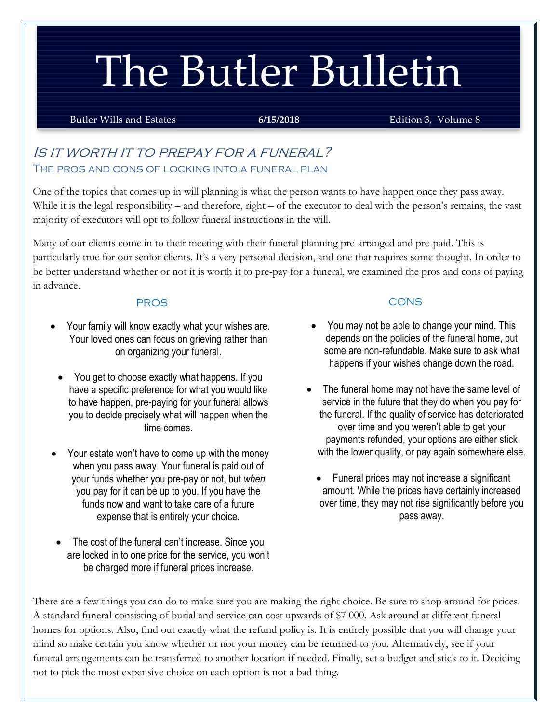# The Butler Bulletin

Butler Wills and Estates **6/15/2018** Edition 3, Volume 8

## Is it worth it to prepay for a funeral? The pros and cons of locking into a funeral plan

One of the topics that comes up in will planning is what the person wants to have happen once they pass away. While it is the legal responsibility – and therefore, right – of the executor to deal with the person's remains, the vast majority of executors will opt to follow funeral instructions in the will.

Many of our clients come in to their meeting with their funeral planning pre-arranged and pre-paid. This is particularly true for our senior clients. It's a very personal decision, and one that requires some thought. In order to be better understand whether or not it is worth it to pre-pay for a funeral, we examined the pros and cons of paying in advance.

#### **PROS**

- Your family will know exactly what your wishes are. Your loved ones can focus on grieving rather than on organizing your funeral.
- You get to choose exactly what happens. If you have a specific preference for what you would like to have happen, pre-paying for your funeral allows you to decide precisely what will happen when the time comes.
- Your estate won't have to come up with the money when you pass away. Your funeral is paid out of your funds whether you pre-pay or not, but *when* you pay for it can be up to you. If you have the funds now and want to take care of a future expense that is entirely your choice.
- The cost of the funeral can't increase. Since you are locked in to one price for the service, you won't be charged more if funeral prices increase.

## **CONS**

- You may not be able to change your mind. This depends on the policies of the funeral home, but some are non-refundable. Make sure to ask what happens if your wishes change down the road.
- The funeral home may not have the same level of service in the future that they do when you pay for the funeral. If the quality of service has deteriorated over time and you weren't able to get your payments refunded, your options are either stick with the lower quality, or pay again somewhere else.
	- Funeral prices may not increase a significant amount. While the prices have certainly increased over time, they may not rise significantly before you pass away.

There are a few things you can do to make sure you are making the right choice. Be sure to shop around for prices. A standard funeral consisting of burial and service can cost upwards of \$7 000. Ask around at different funeral homes for options. Also, find out exactly what the refund policy is. It is entirely possible that you will change your mind so make certain you know whether or not your money can be returned to you. Alternatively, see if your funeral arrangements can be transferred to another location if needed. Finally, set a budget and stick to it. Deciding not to pick the most expensive choice on each option is not a bad thing.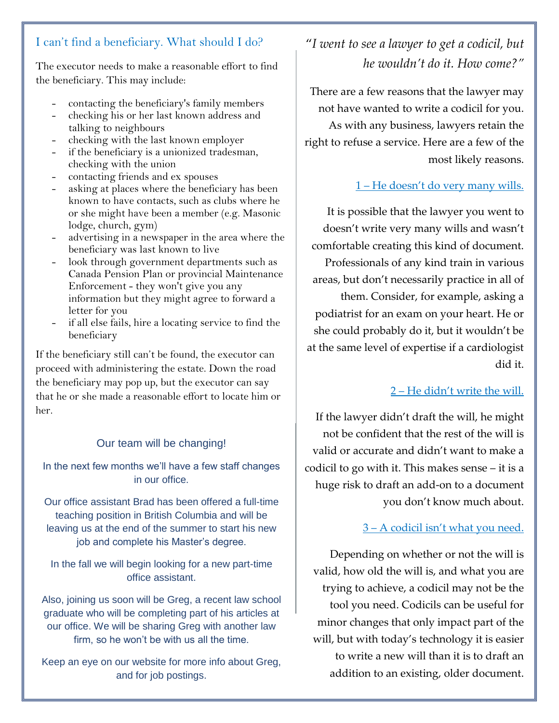## I can't find a beneficiary. What should I do?

The executor needs to make a reasonable effort to find the beneficiary. This may include:

- contacting the beneficiary's family members
- checking his or her last known address and talking to neighbours
- checking with the last known employer
- if the beneficiary is a unionized tradesman, checking with the union
- contacting friends and ex spouses
- asking at places where the beneficiary has been known to have contacts, such as clubs where he or she might have been a member (e.g. Masonic lodge, church, gym)
- advertising in a newspaper in the area where the beneficiary was last known to live
- look through government departments such as Canada Pension Plan or provincial Maintenance Enforcement - they won't give you any information but they might agree to forward a letter for you
- if all else fails, hire a locating service to find the beneficiary

If the beneficiary still can't be found, the executor can proceed with administering the estate. Down the road the beneficiary may pop up, but the executor can say that he or she made a reasonable effort to locate him or her.

## Our team will be changing!

#### In the next few months we'll have a few staff changes in our office.

Our office assistant Brad has been offered a full-time teaching position in British Columbia and will be leaving us at the end of the summer to start his new job and complete his Master's degree.

In the fall we will begin looking for a new part-time office assistant.

Also, joining us soon will be Greg, a recent law school graduate who will be completing part of his articles at our office. We will be sharing Greg with another law firm, so he won't be with us all the time.

Keep an eye on our website for more info about Greg, and for job postings.

## "*I went to see a lawyer to get a codicil, but he wouldn't do it. How come?"*

There are a few reasons that the lawyer may not have wanted to write a codicil for you. As with any business, lawyers retain the right to refuse a service. Here are a few of the most likely reasons.

## 1 – He doesn't do very many wills.

It is possible that the lawyer you went to doesn't write very many wills and wasn't comfortable creating this kind of document. Professionals of any kind train in various areas, but don't necessarily practice in all of them. Consider, for example, asking a podiatrist for an exam on your heart. He or she could probably do it, but it wouldn't be at the same level of expertise if a cardiologist did it.

### 2 – He didn't write the will.

If the lawyer didn't draft the will, he might not be confident that the rest of the will is valid or accurate and didn't want to make a codicil to go with it. This makes sense – it is a huge risk to draft an add-on to a document you don't know much about.

### 3 – A codicil isn't what you need.

Depending on whether or not the will is valid, how old the will is, and what you are trying to achieve, a codicil may not be the tool you need. Codicils can be useful for minor changes that only impact part of the will, but with today's technology it is easier to write a new will than it is to draft an addition to an existing, older document.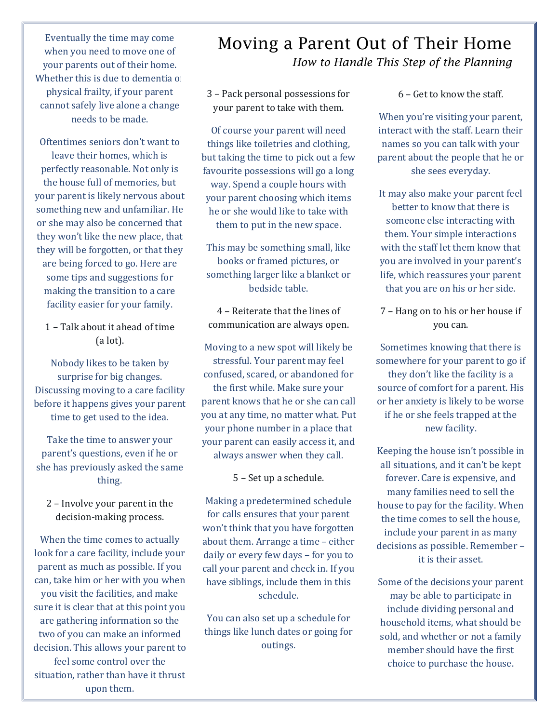Eventually the time may come when you need to move one of your parents out of their home. Whether this is due to dementia or physical frailty, if your parent cannot safely live alone a change needs to be made.

Oftentimes seniors don't want to leave their homes, which is perfectly reasonable. Not only is the house full of memories, but your parent is likely nervous about something new and unfamiliar. He or she may also be concerned that they won't like the new place, that they will be forgotten, or that they are being forced to go. Here are some tips and suggestions for making the transition to a care facility easier for your family.

1 – Talk about it ahead of time (a lot).

Nobody likes to be taken by surprise for big changes. Discussing moving to a care facility before it happens gives your parent time to get used to the idea.

Take the time to answer your parent's questions, even if he or she has previously asked the same thing.

2 – Involve your parent in the decision-making process.

When the time comes to actually look for a care facility, include your parent as much as possible. If you can, take him or her with you when you visit the facilities, and make sure it is clear that at this point you are gathering information so the two of you can make an informed decision. This allows your parent to feel some control over the situation, rather than have it thrust upon them.

## Moving a Parent Out of Their Home *How to Handle This Step of the Planning*

3 – Pack personal possessions for your parent to take with them.

Of course your parent will need things like toiletries and clothing, but taking the time to pick out a few favourite possessions will go a long way. Spend a couple hours with your parent choosing which items he or she would like to take with them to put in the new space.

This may be something small, like books or framed pictures, or something larger like a blanket or bedside table.

4 – Reiterate that the lines of communication are always open.

Moving to a new spot will likely be stressful. Your parent may feel confused, scared, or abandoned for the first while. Make sure your parent knows that he or she can call you at any time, no matter what. Put your phone number in a place that your parent can easily access it, and always answer when they call.

5 – Set up a schedule.

Making a predetermined schedule for calls ensures that your parent won't think that you have forgotten about them. Arrange a time – either daily or every few days – for you to call your parent and check in. If you have siblings, include them in this schedule.

You can also set up a schedule for things like lunch dates or going for outings.

6 – Get to know the staff.

When you're visiting your parent, interact with the staff. Learn their names so you can talk with your parent about the people that he or she sees everyday.

It may also make your parent feel better to know that there is someone else interacting with them. Your simple interactions with the staff let them know that you are involved in your parent's life, which reassures your parent that you are on his or her side.

7 – Hang on to his or her house if you can.

Sometimes knowing that there is somewhere for your parent to go if they don't like the facility is a source of comfort for a parent. His or her anxiety is likely to be worse if he or she feels trapped at the new facility.

Keeping the house isn't possible in all situations, and it can't be kept forever. Care is expensive, and many families need to sell the house to pay for the facility. When the time comes to sell the house, include your parent in as many decisions as possible. Remember – it is their asset.

Some of the decisions your parent may be able to participate in include dividing personal and household items, what should be sold, and whether or not a family member should have the first choice to purchase the house.